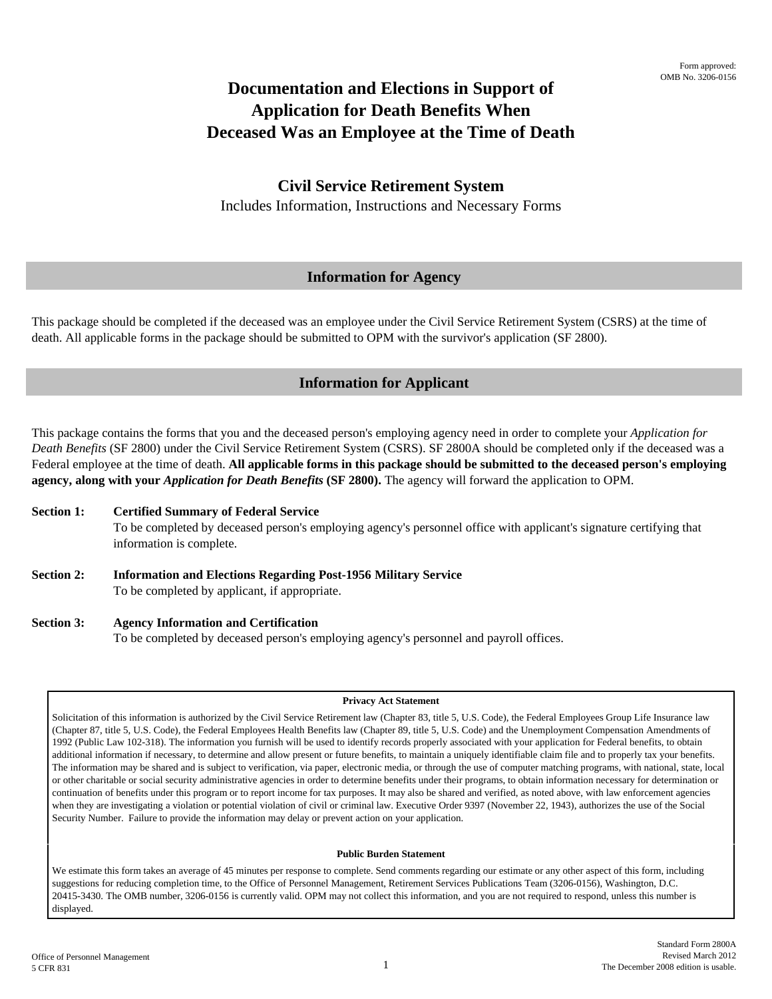# **Documentation and Elections in Support of Application for Death Benefits When Deceased Was an Employee at the Time of Death**

## **Civil Service Retirement System**

Includes Information, Instructions and Necessary Forms

## **Information for Agency**

This package should be completed if the deceased was an employee under the Civil Service Retirement System (CSRS) at the time of death. All applicable forms in the package should be submitted to OPM with the survivor's application (SF 2800).

## **Information for Applicant**

This package contains the forms that you and the deceased person's employing agency need in order to complete your *Application for Death Benefits* (SF 2800) under the Civil Service Retirement System (CSRS). SF 2800A should be completed only if the deceased was a Federal employee at the time of death. **All applicable forms in this package should be submitted to the deceased person's employing agency, along with your** *Application for Death Benefits* **(SF 2800).** The agency will forward the application to OPM.

- **Section 1: Certified Summary of Federal Service**  To be completed by deceased person's employing agency's personnel office with applicant's signature certifying that information is complete.
- **Section 2: Information and Elections Regarding Post-1956 Military Service** To be completed by applicant, if appropriate.
- **Section 3: Agency Information and Certification** To be completed by deceased person's employing agency's personnel and payroll offices.

#### **Privacy Act Statement**

Solicitation of this information is authorized by the Civil Service Retirement law (Chapter 83, title 5, U.S. Code), the Federal Employees Group Life Insurance law (Chapter 87, title 5, U.S. Code), the Federal Employees Health Benefits law (Chapter 89, title 5, U.S. Code) and the Unemployment Compensation Amendments of 1992 (Public Law 102-318). The information you furnish will be used to identify records properly associated with your application for Federal benefits, to obtain additional information if necessary, to determine and allow present or future benefits, to maintain a uniquely identifiable claim file and to properly tax your benefits. The information may be shared and is subject to verification, via paper, electronic media, or through the use of computer matching programs, with national, state, local or other charitable or social security administrative agencies in order to determine benefits under their programs, to obtain information necessary for determination or continuation of benefits under this program or to report income for tax purposes. It may also be shared and verified, as noted above, with law enforcement agencies when they are investigating a violation or potential violation of civil or criminal law. Executive Order 9397 (November 22, 1943), authorizes the use of the Social Security Number. Failure to provide the information may delay or prevent action on your application.

#### **Public Burden Statement**

We estimate this form takes an average of 45 minutes per response to complete. Send comments regarding our estimate or any other aspect of this form, including suggestions for reducing completion time, to the Office of Personnel Management, Retirement Services Publications Team (3206-0156), Washington, D.C. 20415-3430. The OMB number, 3206-0156 is currently valid. OPM may not collect this information, and you are not required to respond, unless this number is displayed.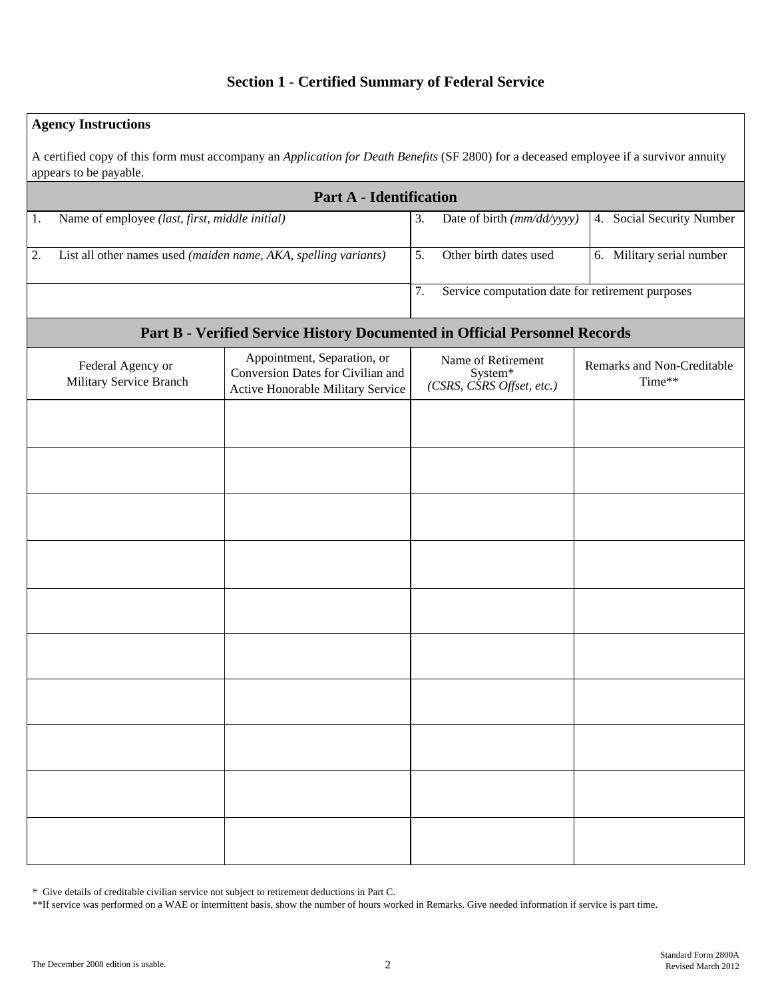## **Section 1 - Certified Summary of Federal Service**

## **Agency Instructions**

A certified copy of this form must accompany an *Application for Death Benefits* (SF 2800) for a deceased employee if a survivor annuity appears to be payable.

|                                                                            | <b>Part A - Identification</b>                 |                                                                                                       |                                                                                     |                                      |  |  |  |  |  |  |  |  |
|----------------------------------------------------------------------------|------------------------------------------------|-------------------------------------------------------------------------------------------------------|-------------------------------------------------------------------------------------|--------------------------------------|--|--|--|--|--|--|--|--|
| 1.                                                                         | Name of employee (last, first, middle initial) |                                                                                                       | Date of birth (mm/dd/yyyy)<br>3.                                                    | 4. Social Security Number            |  |  |  |  |  |  |  |  |
| 2.                                                                         |                                                | List all other names used (maiden name, AKA, spelling variants)                                       | 5.<br>Other birth dates used                                                        | 6. Military serial number            |  |  |  |  |  |  |  |  |
|                                                                            |                                                |                                                                                                       | Service computation date for retirement purposes<br>7.                              |                                      |  |  |  |  |  |  |  |  |
| Part B - Verified Service History Documented in Official Personnel Records |                                                |                                                                                                       |                                                                                     |                                      |  |  |  |  |  |  |  |  |
|                                                                            | Federal Agency or<br>Military Service Branch   | Appointment, Separation, or<br>Conversion Dates for Civilian and<br>Active Honorable Military Service | Name of Retirement<br>System*<br>$(CSRS, \overline{C}SRS \overline{O}f\$ set, etc.) | Remarks and Non-Creditable<br>Time** |  |  |  |  |  |  |  |  |
|                                                                            |                                                |                                                                                                       |                                                                                     |                                      |  |  |  |  |  |  |  |  |
|                                                                            |                                                |                                                                                                       |                                                                                     |                                      |  |  |  |  |  |  |  |  |
|                                                                            |                                                |                                                                                                       |                                                                                     |                                      |  |  |  |  |  |  |  |  |
|                                                                            |                                                |                                                                                                       |                                                                                     |                                      |  |  |  |  |  |  |  |  |
|                                                                            |                                                |                                                                                                       |                                                                                     |                                      |  |  |  |  |  |  |  |  |
|                                                                            |                                                |                                                                                                       |                                                                                     |                                      |  |  |  |  |  |  |  |  |
|                                                                            |                                                |                                                                                                       |                                                                                     |                                      |  |  |  |  |  |  |  |  |
|                                                                            |                                                |                                                                                                       |                                                                                     |                                      |  |  |  |  |  |  |  |  |
|                                                                            |                                                |                                                                                                       |                                                                                     |                                      |  |  |  |  |  |  |  |  |
|                                                                            |                                                |                                                                                                       |                                                                                     |                                      |  |  |  |  |  |  |  |  |

\* Give details of creditable civilian service not subject to retirement deductions in Part C.

\*\*If service was performed on a WAE or intermittent basis, show the number of hours worked in Remarks. Give needed information if service is part time.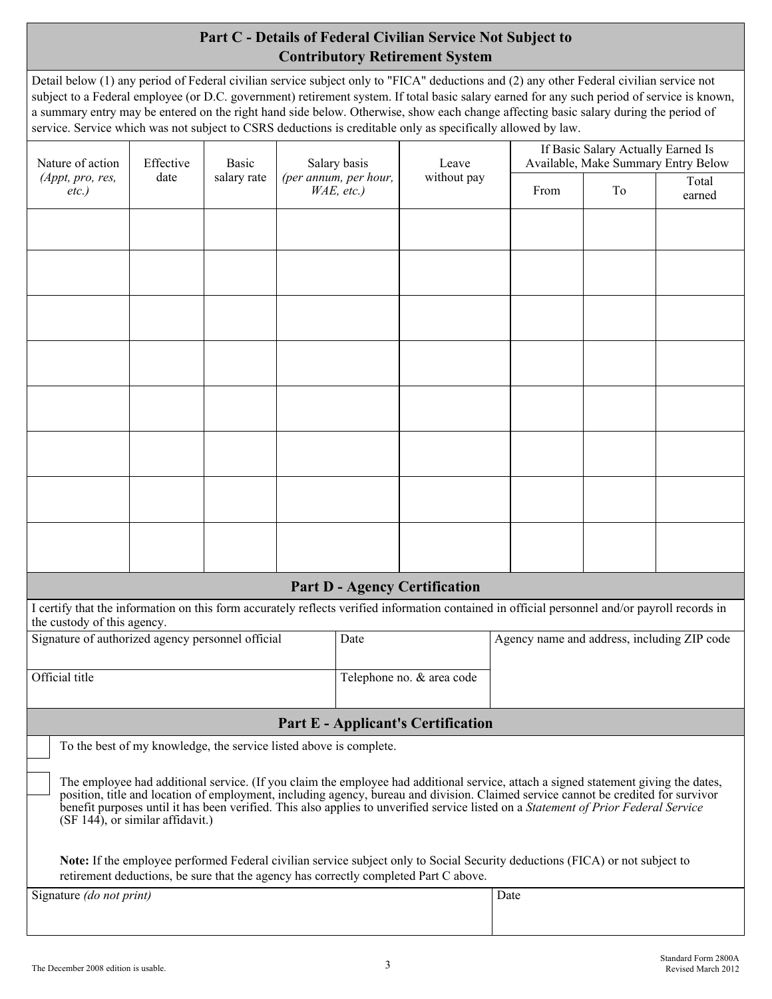# **Part C - Details of Federal Civilian Service Not Subject to Contributory Retirement System**

Detail below (1) any period of Federal civilian service subject only to "FICA" deductions and (2) any other Federal civilian service not subject to a Federal employee (or D.C. government) retirement system. If total basic salary earned for any such period of service is known, a summary entry may be entered on the right hand side below. Otherwise, show each change affecting basic salary during the period of service. Service which was not subject to CSRS deductions is creditable only as specifically allowed by law.

| Nature of action<br>Effective<br>Salary basis<br><b>Basic</b>                                                                                                                                                                                                                                                                                                                                                                                        |                                                                                                                                                                                                                             |             |  |                                        | Leave                                     |      | If Basic Salary Actually Earned Is<br>Available, Make Summary Entry Below |    |                                             |  |  |  |
|------------------------------------------------------------------------------------------------------------------------------------------------------------------------------------------------------------------------------------------------------------------------------------------------------------------------------------------------------------------------------------------------------------------------------------------------------|-----------------------------------------------------------------------------------------------------------------------------------------------------------------------------------------------------------------------------|-------------|--|----------------------------------------|-------------------------------------------|------|---------------------------------------------------------------------------|----|---------------------------------------------|--|--|--|
| (Appt, pro, res,<br>$etc.$ )                                                                                                                                                                                                                                                                                                                                                                                                                         | date                                                                                                                                                                                                                        | salary rate |  | (per annum, per hour,<br>$WAE$ , etc.) | without pay                               |      | From                                                                      | To | Total<br>earned                             |  |  |  |
|                                                                                                                                                                                                                                                                                                                                                                                                                                                      |                                                                                                                                                                                                                             |             |  |                                        |                                           |      |                                                                           |    |                                             |  |  |  |
|                                                                                                                                                                                                                                                                                                                                                                                                                                                      |                                                                                                                                                                                                                             |             |  |                                        |                                           |      |                                                                           |    |                                             |  |  |  |
|                                                                                                                                                                                                                                                                                                                                                                                                                                                      |                                                                                                                                                                                                                             |             |  |                                        |                                           |      |                                                                           |    |                                             |  |  |  |
|                                                                                                                                                                                                                                                                                                                                                                                                                                                      |                                                                                                                                                                                                                             |             |  |                                        |                                           |      |                                                                           |    |                                             |  |  |  |
|                                                                                                                                                                                                                                                                                                                                                                                                                                                      |                                                                                                                                                                                                                             |             |  |                                        |                                           |      |                                                                           |    |                                             |  |  |  |
|                                                                                                                                                                                                                                                                                                                                                                                                                                                      |                                                                                                                                                                                                                             |             |  |                                        |                                           |      |                                                                           |    |                                             |  |  |  |
|                                                                                                                                                                                                                                                                                                                                                                                                                                                      |                                                                                                                                                                                                                             |             |  |                                        |                                           |      |                                                                           |    |                                             |  |  |  |
|                                                                                                                                                                                                                                                                                                                                                                                                                                                      |                                                                                                                                                                                                                             |             |  |                                        |                                           |      |                                                                           |    |                                             |  |  |  |
|                                                                                                                                                                                                                                                                                                                                                                                                                                                      |                                                                                                                                                                                                                             |             |  |                                        |                                           |      |                                                                           |    |                                             |  |  |  |
|                                                                                                                                                                                                                                                                                                                                                                                                                                                      |                                                                                                                                                                                                                             |             |  |                                        |                                           |      |                                                                           |    |                                             |  |  |  |
|                                                                                                                                                                                                                                                                                                                                                                                                                                                      |                                                                                                                                                                                                                             |             |  |                                        |                                           |      |                                                                           |    |                                             |  |  |  |
|                                                                                                                                                                                                                                                                                                                                                                                                                                                      |                                                                                                                                                                                                                             |             |  |                                        |                                           |      |                                                                           |    |                                             |  |  |  |
|                                                                                                                                                                                                                                                                                                                                                                                                                                                      |                                                                                                                                                                                                                             |             |  |                                        |                                           |      |                                                                           |    |                                             |  |  |  |
|                                                                                                                                                                                                                                                                                                                                                                                                                                                      |                                                                                                                                                                                                                             |             |  |                                        | <b>Part D - Agency Certification</b>      |      |                                                                           |    |                                             |  |  |  |
| I certify that the information on this form accurately reflects verified information contained in official personnel and/or payroll records in<br>the custody of this agency.                                                                                                                                                                                                                                                                        |                                                                                                                                                                                                                             |             |  |                                        |                                           |      |                                                                           |    |                                             |  |  |  |
| Signature of authorized agency personnel official                                                                                                                                                                                                                                                                                                                                                                                                    |                                                                                                                                                                                                                             |             |  | Date                                   |                                           |      |                                                                           |    | Agency name and address, including ZIP code |  |  |  |
| Official title                                                                                                                                                                                                                                                                                                                                                                                                                                       |                                                                                                                                                                                                                             |             |  |                                        | Telephone no. & area code                 |      |                                                                           |    |                                             |  |  |  |
|                                                                                                                                                                                                                                                                                                                                                                                                                                                      |                                                                                                                                                                                                                             |             |  |                                        | <b>Part E - Applicant's Certification</b> |      |                                                                           |    |                                             |  |  |  |
|                                                                                                                                                                                                                                                                                                                                                                                                                                                      | To the best of my knowledge, the service listed above is complete.                                                                                                                                                          |             |  |                                        |                                           |      |                                                                           |    |                                             |  |  |  |
|                                                                                                                                                                                                                                                                                                                                                                                                                                                      |                                                                                                                                                                                                                             |             |  |                                        |                                           |      |                                                                           |    |                                             |  |  |  |
| The employee had additional service. (If you claim the employee had additional service, attach a signed statement giving the dates,<br>position, title and location of employment, including agency, bureau and division. Claimed service cannot be credited for survivor<br>benefit purposes until it has been verified. This also applies to unverified service listed on a Statement of Prior Federal Service<br>(SF 144), or similar affidavit.) |                                                                                                                                                                                                                             |             |  |                                        |                                           |      |                                                                           |    |                                             |  |  |  |
|                                                                                                                                                                                                                                                                                                                                                                                                                                                      | <b>Note:</b> If the employee performed Federal civilian service subject only to Social Security deductions (FICA) or not subject to<br>retirement deductions, be sure that the agency has correctly completed Part C above. |             |  |                                        |                                           |      |                                                                           |    |                                             |  |  |  |
| Signature (do not print)                                                                                                                                                                                                                                                                                                                                                                                                                             |                                                                                                                                                                                                                             |             |  |                                        |                                           | Date |                                                                           |    |                                             |  |  |  |
|                                                                                                                                                                                                                                                                                                                                                                                                                                                      |                                                                                                                                                                                                                             |             |  |                                        |                                           |      |                                                                           |    |                                             |  |  |  |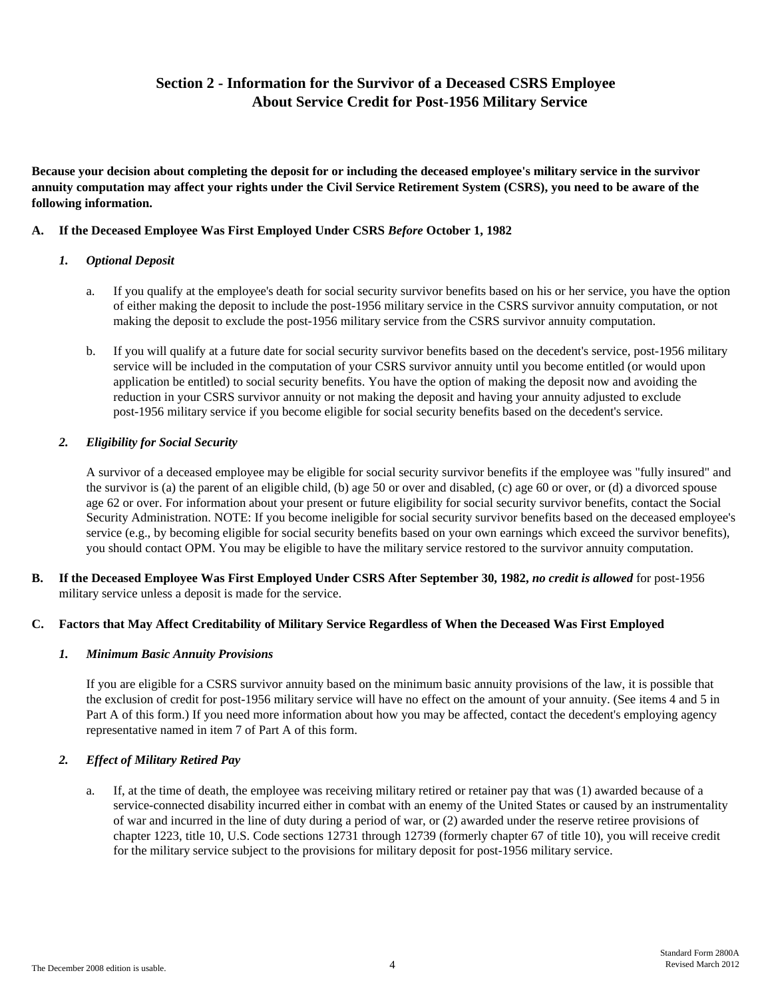# **Section 2 - Information for the Survivor of a Deceased CSRS Employee About Service Credit for Post-1956 Military Service**

**Because your decision about completing the deposit for or including the deceased employee's military service in the survivor annuity computation may affect your rights under the Civil Service Retirement System (CSRS), you need to be aware of the following information.** 

### **A. If the Deceased Employee Was First Employed Under CSRS** *Before* **October 1, 1982**

### *1. Optional Deposit*

- a. If you qualify at the employee's death for social security survivor benefits based on his or her service, you have the option of either making the deposit to include the post-1956 military service in the CSRS survivor annuity computation, or not making the deposit to exclude the post-1956 military service from the CSRS survivor annuity computation.
- b. If you will qualify at a future date for social security survivor benefits based on the decedent's service, post-1956 military service will be included in the computation of your CSRS survivor annuity until you become entitled (or would upon application be entitled) to social security benefits. You have the option of making the deposit now and avoiding the reduction in your CSRS survivor annuity or not making the deposit and having your annuity adjusted to exclude post-1956 military service if you become eligible for social security benefits based on the decedent's service.

### *2. Eligibility for Social Security*

A survivor of a deceased employee may be eligible for social security survivor benefits if the employee was "fully insured" and the survivor is (a) the parent of an eligible child, (b) age 50 or over and disabled, (c) age 60 or over, or (d) a divorced spouse age 62 or over. For information about your present or future eligibility for social security survivor benefits, contact the Social Security Administration. NOTE: If you become ineligible for social security survivor benefits based on the deceased employee's service (e.g., by becoming eligible for social security benefits based on your own earnings which exceed the survivor benefits), you should contact OPM. You may be eligible to have the military service restored to the survivor annuity computation.

**B. If the Deceased Employee Was First Employed Under CSRS After September 30, 1982,** *no credit is allowed* for post-1956 military service unless a deposit is made for the service.

## **C. Factors that May Affect Creditability of Military Service Regardless of When the Deceased Was First Employed**

## *1. Minimum Basic Annuity Provisions*

If you are eligible for a CSRS survivor annuity based on the minimum basic annuity provisions of the law, it is possible that the exclusion of credit for post-1956 military service will have no effect on the amount of your annuity. (See items 4 and 5 in Part A of this form.) If you need more information about how you may be affected, contact the decedent's employing agency representative named in item 7 of Part A of this form.

## *2. Effect of Military Retired Pay*

a. If, at the time of death, the employee was receiving military retired or retainer pay that was (1) awarded because of a service-connected disability incurred either in combat with an enemy of the United States or caused by an instrumentality of war and incurred in the line of duty during a period of war, or (2) awarded under the reserve retiree provisions of chapter 1223, title 10, U.S. Code sections 12731 through 12739 (formerly chapter 67 of title 10), you will receive credit for the military service subject to the provisions for military deposit for post-1956 military service.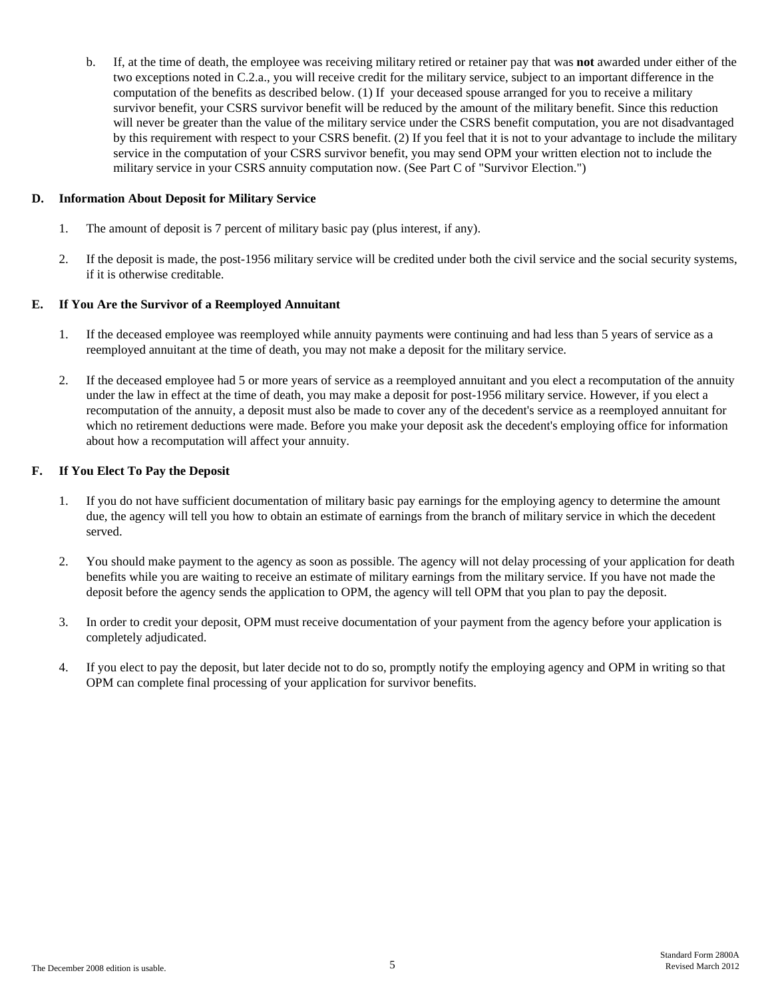b. If, at the time of death, the employee was receiving military retired or retainer pay that was **not** awarded under either of the two exceptions noted in C.2.a., you will receive credit for the military service, subject to an important difference in the computation of the benefits as described below. (1) If your deceased spouse arranged for you to receive a military survivor benefit, your CSRS survivor benefit will be reduced by the amount of the military benefit. Since this reduction will never be greater than the value of the military service under the CSRS benefit computation, you are not disadvantaged by this requirement with respect to your CSRS benefit. (2) If you feel that it is not to your advantage to include the military service in the computation of your CSRS survivor benefit, you may send OPM your written election not to include the military service in your CSRS annuity computation now. (See Part C of "Survivor Election.")

#### **D. Information About Deposit for Military Service**

- 1. The amount of deposit is 7 percent of military basic pay (plus interest, if any).
- 2. If the deposit is made, the post-1956 military service will be credited under both the civil service and the social security systems, if it is otherwise creditable.

#### **E. If You Are the Survivor of a Reemployed Annuitant**

- 1. If the deceased employee was reemployed while annuity payments were continuing and had less than 5 years of service as a reemployed annuitant at the time of death, you may not make a deposit for the military service.
- 2. If the deceased employee had 5 or more years of service as a reemployed annuitant and you elect a recomputation of the annuity under the law in effect at the time of death, you may make a deposit for post-1956 military service. However, if you elect a recomputation of the annuity, a deposit must also be made to cover any of the decedent's service as a reemployed annuitant for which no retirement deductions were made. Before you make your deposit ask the decedent's employing office for information about how a recomputation will affect your annuity.

#### **F. If You Elect To Pay the Deposit**

- 1. If you do not have sufficient documentation of military basic pay earnings for the employing agency to determine the amount due, the agency will tell you how to obtain an estimate of earnings from the branch of military service in which the decedent served.
- 2. You should make payment to the agency as soon as possible. The agency will not delay processing of your application for death benefits while you are waiting to receive an estimate of military earnings from the military service. If you have not made the deposit before the agency sends the application to OPM, the agency will tell OPM that you plan to pay the deposit.
- 3. In order to credit your deposit, OPM must receive documentation of your payment from the agency before your application is completely adjudicated.
- 4. If you elect to pay the deposit, but later decide not to do so, promptly notify the employing agency and OPM in writing so that OPM can complete final processing of your application for survivor benefits.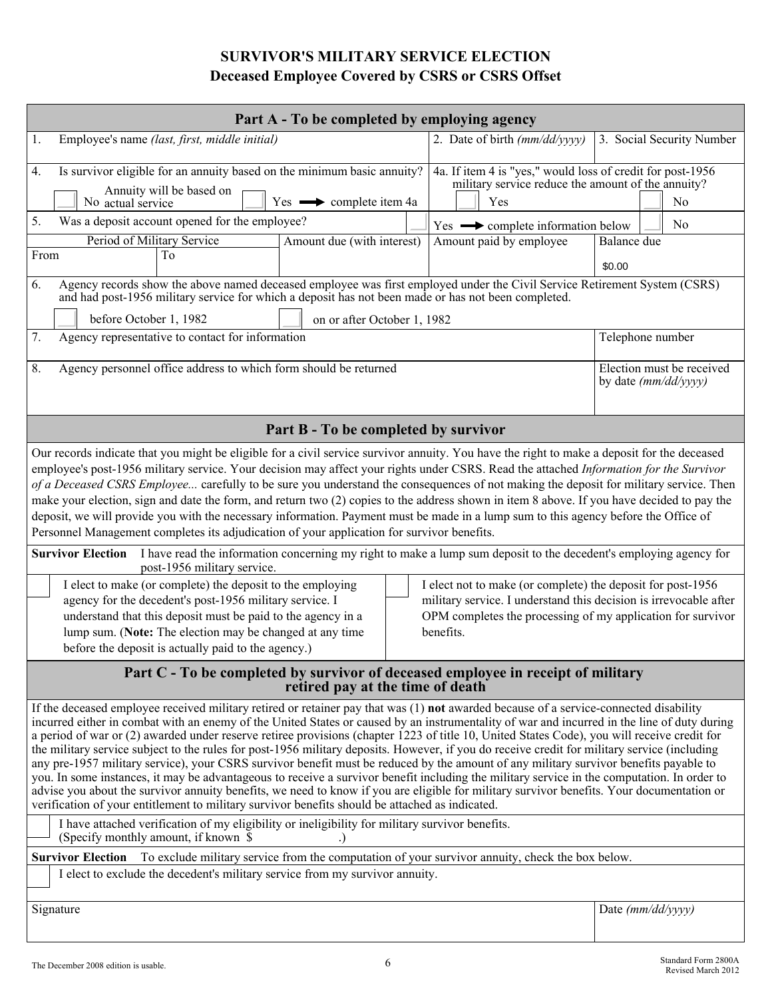# **SURVIVOR'S MILITARY SERVICE ELECTION Deceased Employee Covered by CSRS or CSRS Offset**

| Employee's name (last, first, middle initial)<br>2. Date of birth (mm/dd/yyyy)<br>3. Social Security Number<br>1.<br>4a. If item 4 is "yes," would loss of credit for post-1956<br>Is survivor eligible for an annuity based on the minimum basic annuity?<br>4.<br>military service reduce the amount of the annuity?<br>Annuity will be based on<br>$Yes \longrightarrow complete item 4a$<br>Yes<br>N <sub>0</sub><br>No actual service<br>Was a deposit account opened for the employee?<br>5.<br>No<br>Yes $\longrightarrow$ complete information below<br>Period of Military Service<br>Amount due (with interest)<br>Amount paid by employee<br>Balance due<br>To<br>From<br>\$0.00<br>Agency records show the above named deceased employee was first employed under the Civil Service Retirement System (CSRS)<br>6.<br>and had post-1956 military service for which a deposit has not been made or has not been completed.<br>before October 1, 1982<br>on or after October 1, 1982<br>7.<br>Agency representative to contact for information<br>Telephone number<br>Agency personnel office address to which form should be returned<br>Election must be received<br>8.<br>by date (mm/dd/yyyy)<br>Part B - To be completed by survivor<br>Our records indicate that you might be eligible for a civil service survivor annuity. You have the right to make a deposit for the deceased<br>employee's post-1956 military service. Your decision may affect your rights under CSRS. Read the attached Information for the Survivor<br>of a Deceased CSRS Employee carefully to be sure you understand the consequences of not making the deposit for military service. Then<br>make your election, sign and date the form, and return two (2) copies to the address shown in item 8 above. If you have decided to pay the<br>deposit, we will provide you with the necessary information. Payment must be made in a lump sum to this agency before the Office of<br>Personnel Management completes its adjudication of your application for survivor benefits.<br><b>Survivor Election</b><br>I have read the information concerning my right to make a lump sum deposit to the decedent's employing agency for<br>post-1956 military service.<br>I elect to make (or complete) the deposit to the employing<br>I elect not to make (or complete) the deposit for post-1956<br>agency for the decedent's post-1956 military service. I<br>military service. I understand this decision is irrevocable after<br>OPM completes the processing of my application for survivor<br>understand that this deposit must be paid to the agency in a<br>lump sum. (Note: The election may be changed at any time<br>benefits.<br>before the deposit is actually paid to the agency.)<br>Part C - To be completed by survivor of deceased employee in receipt of military<br>retired pay at the time of death<br>If the deceased employee received military retired or retainer pay that was (1) not awarded because of a service-connected disability<br>incurred either in combat with an enemy of the United States or caused by an instrumentality of war and incurred in the line of duty during<br>a period of war or (2) awarded under reserve retiree provisions (chapter 1223 of title 10, United States Code), you will receive credit for<br>the military service subject to the rules for post-1956 military deposits. However, if you do receive credit for military service (including<br>any pre-1957 military service), your CSRS survivor benefit must be reduced by the amount of any military survivor benefits payable to<br>you. In some instances, it may be advantageous to receive a survivor benefit including the military service in the computation. In order to<br>advise you about the survivor annuity benefits, we need to know if you are eligible for military survivor benefits. Your documentation or<br>verification of your entitlement to military survivor benefits should be attached as indicated.<br>I have attached verification of my eligibility or ineligibility for military survivor benefits.<br>(Specify monthly amount, if known \$<br>To exclude military service from the computation of your survivor annuity, check the box below.<br><b>Survivor Election</b><br>I elect to exclude the decedent's military service from my survivor annuity.<br>Signature<br>Date $(mm/dd/yyyy)$ | Part A - To be completed by employing agency |  |  |  |  |  |  |  |  |  |  |
|------------------------------------------------------------------------------------------------------------------------------------------------------------------------------------------------------------------------------------------------------------------------------------------------------------------------------------------------------------------------------------------------------------------------------------------------------------------------------------------------------------------------------------------------------------------------------------------------------------------------------------------------------------------------------------------------------------------------------------------------------------------------------------------------------------------------------------------------------------------------------------------------------------------------------------------------------------------------------------------------------------------------------------------------------------------------------------------------------------------------------------------------------------------------------------------------------------------------------------------------------------------------------------------------------------------------------------------------------------------------------------------------------------------------------------------------------------------------------------------------------------------------------------------------------------------------------------------------------------------------------------------------------------------------------------------------------------------------------------------------------------------------------------------------------------------------------------------------------------------------------------------------------------------------------------------------------------------------------------------------------------------------------------------------------------------------------------------------------------------------------------------------------------------------------------------------------------------------------------------------------------------------------------------------------------------------------------------------------------------------------------------------------------------------------------------------------------------------------------------------------------------------------------------------------------------------------------------------------------------------------------------------------------------------------------------------------------------------------------------------------------------------------------------------------------------------------------------------------------------------------------------------------------------------------------------------------------------------------------------------------------------------------------------------------------------------------------------------------------------------------------------------------------------------------------------------------------------------------------------------------------------------------------------------------------------------------------------------------------------------------------------------------------------------------------------------------------------------------------------------------------------------------------------------------------------------------------------------------------------------------------------------------------------------------------------------------------------------------------------------------------------------------------------------------------------------------------------------------------------------------------------------------------------------------------------------------------------------------------------------------------------------------------------------------------------------------------------------------------------------------------------------------------------------------------------------------------------------------------------------------------------------------------------------------------------------------------------------------------------------------------------------------------------------------------------|----------------------------------------------|--|--|--|--|--|--|--|--|--|--|
|                                                                                                                                                                                                                                                                                                                                                                                                                                                                                                                                                                                                                                                                                                                                                                                                                                                                                                                                                                                                                                                                                                                                                                                                                                                                                                                                                                                                                                                                                                                                                                                                                                                                                                                                                                                                                                                                                                                                                                                                                                                                                                                                                                                                                                                                                                                                                                                                                                                                                                                                                                                                                                                                                                                                                                                                                                                                                                                                                                                                                                                                                                                                                                                                                                                                                                                                                                                                                                                                                                                                                                                                                                                                                                                                                                                                                                                                                                                                                                                                                                                                                                                                                                                                                                                                                                                                                                                                                                          |                                              |  |  |  |  |  |  |  |  |  |  |
|                                                                                                                                                                                                                                                                                                                                                                                                                                                                                                                                                                                                                                                                                                                                                                                                                                                                                                                                                                                                                                                                                                                                                                                                                                                                                                                                                                                                                                                                                                                                                                                                                                                                                                                                                                                                                                                                                                                                                                                                                                                                                                                                                                                                                                                                                                                                                                                                                                                                                                                                                                                                                                                                                                                                                                                                                                                                                                                                                                                                                                                                                                                                                                                                                                                                                                                                                                                                                                                                                                                                                                                                                                                                                                                                                                                                                                                                                                                                                                                                                                                                                                                                                                                                                                                                                                                                                                                                                                          |                                              |  |  |  |  |  |  |  |  |  |  |
|                                                                                                                                                                                                                                                                                                                                                                                                                                                                                                                                                                                                                                                                                                                                                                                                                                                                                                                                                                                                                                                                                                                                                                                                                                                                                                                                                                                                                                                                                                                                                                                                                                                                                                                                                                                                                                                                                                                                                                                                                                                                                                                                                                                                                                                                                                                                                                                                                                                                                                                                                                                                                                                                                                                                                                                                                                                                                                                                                                                                                                                                                                                                                                                                                                                                                                                                                                                                                                                                                                                                                                                                                                                                                                                                                                                                                                                                                                                                                                                                                                                                                                                                                                                                                                                                                                                                                                                                                                          |                                              |  |  |  |  |  |  |  |  |  |  |
|                                                                                                                                                                                                                                                                                                                                                                                                                                                                                                                                                                                                                                                                                                                                                                                                                                                                                                                                                                                                                                                                                                                                                                                                                                                                                                                                                                                                                                                                                                                                                                                                                                                                                                                                                                                                                                                                                                                                                                                                                                                                                                                                                                                                                                                                                                                                                                                                                                                                                                                                                                                                                                                                                                                                                                                                                                                                                                                                                                                                                                                                                                                                                                                                                                                                                                                                                                                                                                                                                                                                                                                                                                                                                                                                                                                                                                                                                                                                                                                                                                                                                                                                                                                                                                                                                                                                                                                                                                          |                                              |  |  |  |  |  |  |  |  |  |  |
|                                                                                                                                                                                                                                                                                                                                                                                                                                                                                                                                                                                                                                                                                                                                                                                                                                                                                                                                                                                                                                                                                                                                                                                                                                                                                                                                                                                                                                                                                                                                                                                                                                                                                                                                                                                                                                                                                                                                                                                                                                                                                                                                                                                                                                                                                                                                                                                                                                                                                                                                                                                                                                                                                                                                                                                                                                                                                                                                                                                                                                                                                                                                                                                                                                                                                                                                                                                                                                                                                                                                                                                                                                                                                                                                                                                                                                                                                                                                                                                                                                                                                                                                                                                                                                                                                                                                                                                                                                          |                                              |  |  |  |  |  |  |  |  |  |  |
|                                                                                                                                                                                                                                                                                                                                                                                                                                                                                                                                                                                                                                                                                                                                                                                                                                                                                                                                                                                                                                                                                                                                                                                                                                                                                                                                                                                                                                                                                                                                                                                                                                                                                                                                                                                                                                                                                                                                                                                                                                                                                                                                                                                                                                                                                                                                                                                                                                                                                                                                                                                                                                                                                                                                                                                                                                                                                                                                                                                                                                                                                                                                                                                                                                                                                                                                                                                                                                                                                                                                                                                                                                                                                                                                                                                                                                                                                                                                                                                                                                                                                                                                                                                                                                                                                                                                                                                                                                          |                                              |  |  |  |  |  |  |  |  |  |  |
|                                                                                                                                                                                                                                                                                                                                                                                                                                                                                                                                                                                                                                                                                                                                                                                                                                                                                                                                                                                                                                                                                                                                                                                                                                                                                                                                                                                                                                                                                                                                                                                                                                                                                                                                                                                                                                                                                                                                                                                                                                                                                                                                                                                                                                                                                                                                                                                                                                                                                                                                                                                                                                                                                                                                                                                                                                                                                                                                                                                                                                                                                                                                                                                                                                                                                                                                                                                                                                                                                                                                                                                                                                                                                                                                                                                                                                                                                                                                                                                                                                                                                                                                                                                                                                                                                                                                                                                                                                          |                                              |  |  |  |  |  |  |  |  |  |  |
|                                                                                                                                                                                                                                                                                                                                                                                                                                                                                                                                                                                                                                                                                                                                                                                                                                                                                                                                                                                                                                                                                                                                                                                                                                                                                                                                                                                                                                                                                                                                                                                                                                                                                                                                                                                                                                                                                                                                                                                                                                                                                                                                                                                                                                                                                                                                                                                                                                                                                                                                                                                                                                                                                                                                                                                                                                                                                                                                                                                                                                                                                                                                                                                                                                                                                                                                                                                                                                                                                                                                                                                                                                                                                                                                                                                                                                                                                                                                                                                                                                                                                                                                                                                                                                                                                                                                                                                                                                          |                                              |  |  |  |  |  |  |  |  |  |  |
|                                                                                                                                                                                                                                                                                                                                                                                                                                                                                                                                                                                                                                                                                                                                                                                                                                                                                                                                                                                                                                                                                                                                                                                                                                                                                                                                                                                                                                                                                                                                                                                                                                                                                                                                                                                                                                                                                                                                                                                                                                                                                                                                                                                                                                                                                                                                                                                                                                                                                                                                                                                                                                                                                                                                                                                                                                                                                                                                                                                                                                                                                                                                                                                                                                                                                                                                                                                                                                                                                                                                                                                                                                                                                                                                                                                                                                                                                                                                                                                                                                                                                                                                                                                                                                                                                                                                                                                                                                          |                                              |  |  |  |  |  |  |  |  |  |  |
|                                                                                                                                                                                                                                                                                                                                                                                                                                                                                                                                                                                                                                                                                                                                                                                                                                                                                                                                                                                                                                                                                                                                                                                                                                                                                                                                                                                                                                                                                                                                                                                                                                                                                                                                                                                                                                                                                                                                                                                                                                                                                                                                                                                                                                                                                                                                                                                                                                                                                                                                                                                                                                                                                                                                                                                                                                                                                                                                                                                                                                                                                                                                                                                                                                                                                                                                                                                                                                                                                                                                                                                                                                                                                                                                                                                                                                                                                                                                                                                                                                                                                                                                                                                                                                                                                                                                                                                                                                          |                                              |  |  |  |  |  |  |  |  |  |  |
|                                                                                                                                                                                                                                                                                                                                                                                                                                                                                                                                                                                                                                                                                                                                                                                                                                                                                                                                                                                                                                                                                                                                                                                                                                                                                                                                                                                                                                                                                                                                                                                                                                                                                                                                                                                                                                                                                                                                                                                                                                                                                                                                                                                                                                                                                                                                                                                                                                                                                                                                                                                                                                                                                                                                                                                                                                                                                                                                                                                                                                                                                                                                                                                                                                                                                                                                                                                                                                                                                                                                                                                                                                                                                                                                                                                                                                                                                                                                                                                                                                                                                                                                                                                                                                                                                                                                                                                                                                          |                                              |  |  |  |  |  |  |  |  |  |  |
|                                                                                                                                                                                                                                                                                                                                                                                                                                                                                                                                                                                                                                                                                                                                                                                                                                                                                                                                                                                                                                                                                                                                                                                                                                                                                                                                                                                                                                                                                                                                                                                                                                                                                                                                                                                                                                                                                                                                                                                                                                                                                                                                                                                                                                                                                                                                                                                                                                                                                                                                                                                                                                                                                                                                                                                                                                                                                                                                                                                                                                                                                                                                                                                                                                                                                                                                                                                                                                                                                                                                                                                                                                                                                                                                                                                                                                                                                                                                                                                                                                                                                                                                                                                                                                                                                                                                                                                                                                          |                                              |  |  |  |  |  |  |  |  |  |  |
|                                                                                                                                                                                                                                                                                                                                                                                                                                                                                                                                                                                                                                                                                                                                                                                                                                                                                                                                                                                                                                                                                                                                                                                                                                                                                                                                                                                                                                                                                                                                                                                                                                                                                                                                                                                                                                                                                                                                                                                                                                                                                                                                                                                                                                                                                                                                                                                                                                                                                                                                                                                                                                                                                                                                                                                                                                                                                                                                                                                                                                                                                                                                                                                                                                                                                                                                                                                                                                                                                                                                                                                                                                                                                                                                                                                                                                                                                                                                                                                                                                                                                                                                                                                                                                                                                                                                                                                                                                          |                                              |  |  |  |  |  |  |  |  |  |  |
|                                                                                                                                                                                                                                                                                                                                                                                                                                                                                                                                                                                                                                                                                                                                                                                                                                                                                                                                                                                                                                                                                                                                                                                                                                                                                                                                                                                                                                                                                                                                                                                                                                                                                                                                                                                                                                                                                                                                                                                                                                                                                                                                                                                                                                                                                                                                                                                                                                                                                                                                                                                                                                                                                                                                                                                                                                                                                                                                                                                                                                                                                                                                                                                                                                                                                                                                                                                                                                                                                                                                                                                                                                                                                                                                                                                                                                                                                                                                                                                                                                                                                                                                                                                                                                                                                                                                                                                                                                          |                                              |  |  |  |  |  |  |  |  |  |  |
|                                                                                                                                                                                                                                                                                                                                                                                                                                                                                                                                                                                                                                                                                                                                                                                                                                                                                                                                                                                                                                                                                                                                                                                                                                                                                                                                                                                                                                                                                                                                                                                                                                                                                                                                                                                                                                                                                                                                                                                                                                                                                                                                                                                                                                                                                                                                                                                                                                                                                                                                                                                                                                                                                                                                                                                                                                                                                                                                                                                                                                                                                                                                                                                                                                                                                                                                                                                                                                                                                                                                                                                                                                                                                                                                                                                                                                                                                                                                                                                                                                                                                                                                                                                                                                                                                                                                                                                                                                          |                                              |  |  |  |  |  |  |  |  |  |  |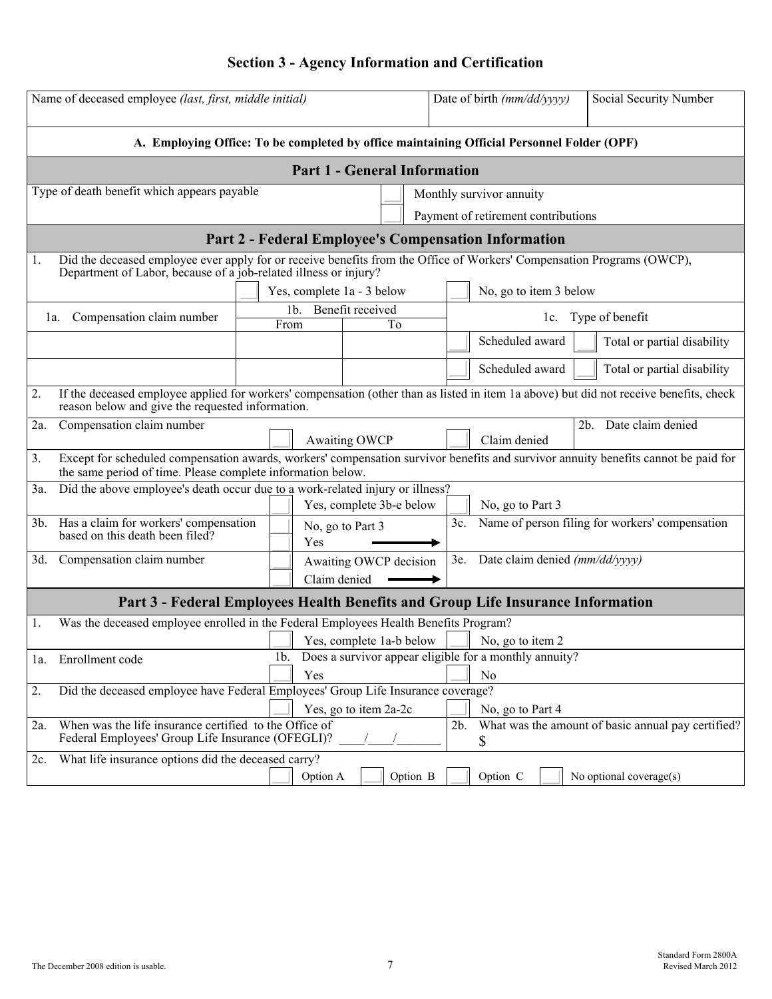# **Section 3 - Agency Information and Certification**

| A. Employing Office: To be completed by office maintaining Official Personnel Folder (OPF)<br><b>Part 1 - General Information</b><br>Type of death benefit which appears payable<br>Monthly survivor annuity<br>Payment of retirement contributions<br><b>Part 2 - Federal Employee's Compensation Information</b><br>Did the deceased employee ever apply for or receive benefits from the Office of Workers' Compensation Programs (OWCP),<br>Department of Labor, because of a job-related illness or injury?<br>Yes, complete 1a - 3 below<br>No, go to item 3 below<br>Benefit received<br>1 <sub>b</sub><br>Type of benefit<br>Compensation claim number<br>la.<br>lc.<br>From<br>To<br>Scheduled award<br>Total or partial disability<br>Scheduled award<br>Total or partial disability<br>If the deceased employee applied for workers' compensation (other than as listed in item 1a above) but did not receive benefits, check<br>2.<br>reason below and give the requested information.<br>Date claim denied<br>Compensation claim number<br>2b.<br>2a.<br><b>Awaiting OWCP</b><br>Claim denied<br>3.<br>Except for scheduled compensation awards, workers' compensation survivor benefits and survivor annuity benefits cannot be paid for<br>the same period of time. Please complete information below.<br>Did the above employee's death occur due to a work-related injury or illness?<br>3a.<br>Yes, complete 3b-e below<br>No, go to Part 3<br>Has a claim for workers' compensation<br>Name of person filing for workers' compensation<br>$3b$ .<br>3c.<br>No, go to Part 3<br>based on this death been filed?<br>Yes<br>3e. Date claim denied (mm/dd/yyyy)<br>3d. Compensation claim number<br>Awaiting OWCP decision<br>Claim denied<br>Part 3 - Federal Employees Health Benefits and Group Life Insurance Information<br>Was the deceased employee enrolled in the Federal Employees Health Benefits Program?<br>Yes, complete 1a-b below<br>No, go to item 2<br>Does a survivor appear eligible for a monthly annuity?<br>Enrollment code<br>1 <sub>b</sub><br>la.<br>Yes<br>N <sub>0</sub><br>Did the deceased employee have Federal Employees' Group Life Insurance coverage?<br>2.<br>Yes, go to item 2a-2c<br>No, go to Part 4<br>What was the amount of basic annual pay certified?<br>When was the life insurance certified to the Office of<br>2b.<br>2a.<br>Federal Employees' Group Life Insurance (OFEGLI)?<br>\$<br>What life insurance options did the deceased carry?<br>$2c$ . | Name of deceased employee (last, first, middle initial) |  |  |          |  |          |  |  | Date of birth (mm/dd/yyyy) |  | Social Security Number  |  |  |
|----------------------------------------------------------------------------------------------------------------------------------------------------------------------------------------------------------------------------------------------------------------------------------------------------------------------------------------------------------------------------------------------------------------------------------------------------------------------------------------------------------------------------------------------------------------------------------------------------------------------------------------------------------------------------------------------------------------------------------------------------------------------------------------------------------------------------------------------------------------------------------------------------------------------------------------------------------------------------------------------------------------------------------------------------------------------------------------------------------------------------------------------------------------------------------------------------------------------------------------------------------------------------------------------------------------------------------------------------------------------------------------------------------------------------------------------------------------------------------------------------------------------------------------------------------------------------------------------------------------------------------------------------------------------------------------------------------------------------------------------------------------------------------------------------------------------------------------------------------------------------------------------------------------------------------------------------------------------------------------------------------------------------------------------------------------------------------------------------------------------------------------------------------------------------------------------------------------------------------------------------------------------------------------------------------------------------------------------------------------------------------------------------------------------------------------------------------------------------------------------------------------------|---------------------------------------------------------|--|--|----------|--|----------|--|--|----------------------------|--|-------------------------|--|--|
|                                                                                                                                                                                                                                                                                                                                                                                                                                                                                                                                                                                                                                                                                                                                                                                                                                                                                                                                                                                                                                                                                                                                                                                                                                                                                                                                                                                                                                                                                                                                                                                                                                                                                                                                                                                                                                                                                                                                                                                                                                                                                                                                                                                                                                                                                                                                                                                                                                                                                                                      |                                                         |  |  |          |  |          |  |  |                            |  |                         |  |  |
|                                                                                                                                                                                                                                                                                                                                                                                                                                                                                                                                                                                                                                                                                                                                                                                                                                                                                                                                                                                                                                                                                                                                                                                                                                                                                                                                                                                                                                                                                                                                                                                                                                                                                                                                                                                                                                                                                                                                                                                                                                                                                                                                                                                                                                                                                                                                                                                                                                                                                                                      |                                                         |  |  |          |  |          |  |  |                            |  |                         |  |  |
|                                                                                                                                                                                                                                                                                                                                                                                                                                                                                                                                                                                                                                                                                                                                                                                                                                                                                                                                                                                                                                                                                                                                                                                                                                                                                                                                                                                                                                                                                                                                                                                                                                                                                                                                                                                                                                                                                                                                                                                                                                                                                                                                                                                                                                                                                                                                                                                                                                                                                                                      |                                                         |  |  |          |  |          |  |  |                            |  |                         |  |  |
|                                                                                                                                                                                                                                                                                                                                                                                                                                                                                                                                                                                                                                                                                                                                                                                                                                                                                                                                                                                                                                                                                                                                                                                                                                                                                                                                                                                                                                                                                                                                                                                                                                                                                                                                                                                                                                                                                                                                                                                                                                                                                                                                                                                                                                                                                                                                                                                                                                                                                                                      |                                                         |  |  |          |  |          |  |  |                            |  |                         |  |  |
|                                                                                                                                                                                                                                                                                                                                                                                                                                                                                                                                                                                                                                                                                                                                                                                                                                                                                                                                                                                                                                                                                                                                                                                                                                                                                                                                                                                                                                                                                                                                                                                                                                                                                                                                                                                                                                                                                                                                                                                                                                                                                                                                                                                                                                                                                                                                                                                                                                                                                                                      |                                                         |  |  |          |  |          |  |  |                            |  |                         |  |  |
|                                                                                                                                                                                                                                                                                                                                                                                                                                                                                                                                                                                                                                                                                                                                                                                                                                                                                                                                                                                                                                                                                                                                                                                                                                                                                                                                                                                                                                                                                                                                                                                                                                                                                                                                                                                                                                                                                                                                                                                                                                                                                                                                                                                                                                                                                                                                                                                                                                                                                                                      |                                                         |  |  |          |  |          |  |  |                            |  |                         |  |  |
|                                                                                                                                                                                                                                                                                                                                                                                                                                                                                                                                                                                                                                                                                                                                                                                                                                                                                                                                                                                                                                                                                                                                                                                                                                                                                                                                                                                                                                                                                                                                                                                                                                                                                                                                                                                                                                                                                                                                                                                                                                                                                                                                                                                                                                                                                                                                                                                                                                                                                                                      |                                                         |  |  |          |  |          |  |  |                            |  |                         |  |  |
|                                                                                                                                                                                                                                                                                                                                                                                                                                                                                                                                                                                                                                                                                                                                                                                                                                                                                                                                                                                                                                                                                                                                                                                                                                                                                                                                                                                                                                                                                                                                                                                                                                                                                                                                                                                                                                                                                                                                                                                                                                                                                                                                                                                                                                                                                                                                                                                                                                                                                                                      |                                                         |  |  |          |  |          |  |  |                            |  |                         |  |  |
|                                                                                                                                                                                                                                                                                                                                                                                                                                                                                                                                                                                                                                                                                                                                                                                                                                                                                                                                                                                                                                                                                                                                                                                                                                                                                                                                                                                                                                                                                                                                                                                                                                                                                                                                                                                                                                                                                                                                                                                                                                                                                                                                                                                                                                                                                                                                                                                                                                                                                                                      |                                                         |  |  |          |  |          |  |  |                            |  |                         |  |  |
|                                                                                                                                                                                                                                                                                                                                                                                                                                                                                                                                                                                                                                                                                                                                                                                                                                                                                                                                                                                                                                                                                                                                                                                                                                                                                                                                                                                                                                                                                                                                                                                                                                                                                                                                                                                                                                                                                                                                                                                                                                                                                                                                                                                                                                                                                                                                                                                                                                                                                                                      |                                                         |  |  |          |  |          |  |  |                            |  |                         |  |  |
|                                                                                                                                                                                                                                                                                                                                                                                                                                                                                                                                                                                                                                                                                                                                                                                                                                                                                                                                                                                                                                                                                                                                                                                                                                                                                                                                                                                                                                                                                                                                                                                                                                                                                                                                                                                                                                                                                                                                                                                                                                                                                                                                                                                                                                                                                                                                                                                                                                                                                                                      |                                                         |  |  |          |  |          |  |  |                            |  |                         |  |  |
|                                                                                                                                                                                                                                                                                                                                                                                                                                                                                                                                                                                                                                                                                                                                                                                                                                                                                                                                                                                                                                                                                                                                                                                                                                                                                                                                                                                                                                                                                                                                                                                                                                                                                                                                                                                                                                                                                                                                                                                                                                                                                                                                                                                                                                                                                                                                                                                                                                                                                                                      |                                                         |  |  |          |  |          |  |  |                            |  |                         |  |  |
|                                                                                                                                                                                                                                                                                                                                                                                                                                                                                                                                                                                                                                                                                                                                                                                                                                                                                                                                                                                                                                                                                                                                                                                                                                                                                                                                                                                                                                                                                                                                                                                                                                                                                                                                                                                                                                                                                                                                                                                                                                                                                                                                                                                                                                                                                                                                                                                                                                                                                                                      |                                                         |  |  |          |  |          |  |  |                            |  |                         |  |  |
|                                                                                                                                                                                                                                                                                                                                                                                                                                                                                                                                                                                                                                                                                                                                                                                                                                                                                                                                                                                                                                                                                                                                                                                                                                                                                                                                                                                                                                                                                                                                                                                                                                                                                                                                                                                                                                                                                                                                                                                                                                                                                                                                                                                                                                                                                                                                                                                                                                                                                                                      |                                                         |  |  |          |  |          |  |  |                            |  |                         |  |  |
|                                                                                                                                                                                                                                                                                                                                                                                                                                                                                                                                                                                                                                                                                                                                                                                                                                                                                                                                                                                                                                                                                                                                                                                                                                                                                                                                                                                                                                                                                                                                                                                                                                                                                                                                                                                                                                                                                                                                                                                                                                                                                                                                                                                                                                                                                                                                                                                                                                                                                                                      |                                                         |  |  |          |  |          |  |  |                            |  |                         |  |  |
|                                                                                                                                                                                                                                                                                                                                                                                                                                                                                                                                                                                                                                                                                                                                                                                                                                                                                                                                                                                                                                                                                                                                                                                                                                                                                                                                                                                                                                                                                                                                                                                                                                                                                                                                                                                                                                                                                                                                                                                                                                                                                                                                                                                                                                                                                                                                                                                                                                                                                                                      |                                                         |  |  |          |  |          |  |  |                            |  |                         |  |  |
|                                                                                                                                                                                                                                                                                                                                                                                                                                                                                                                                                                                                                                                                                                                                                                                                                                                                                                                                                                                                                                                                                                                                                                                                                                                                                                                                                                                                                                                                                                                                                                                                                                                                                                                                                                                                                                                                                                                                                                                                                                                                                                                                                                                                                                                                                                                                                                                                                                                                                                                      |                                                         |  |  |          |  |          |  |  |                            |  |                         |  |  |
|                                                                                                                                                                                                                                                                                                                                                                                                                                                                                                                                                                                                                                                                                                                                                                                                                                                                                                                                                                                                                                                                                                                                                                                                                                                                                                                                                                                                                                                                                                                                                                                                                                                                                                                                                                                                                                                                                                                                                                                                                                                                                                                                                                                                                                                                                                                                                                                                                                                                                                                      |                                                         |  |  |          |  |          |  |  |                            |  |                         |  |  |
|                                                                                                                                                                                                                                                                                                                                                                                                                                                                                                                                                                                                                                                                                                                                                                                                                                                                                                                                                                                                                                                                                                                                                                                                                                                                                                                                                                                                                                                                                                                                                                                                                                                                                                                                                                                                                                                                                                                                                                                                                                                                                                                                                                                                                                                                                                                                                                                                                                                                                                                      |                                                         |  |  |          |  |          |  |  |                            |  |                         |  |  |
|                                                                                                                                                                                                                                                                                                                                                                                                                                                                                                                                                                                                                                                                                                                                                                                                                                                                                                                                                                                                                                                                                                                                                                                                                                                                                                                                                                                                                                                                                                                                                                                                                                                                                                                                                                                                                                                                                                                                                                                                                                                                                                                                                                                                                                                                                                                                                                                                                                                                                                                      |                                                         |  |  |          |  |          |  |  |                            |  |                         |  |  |
|                                                                                                                                                                                                                                                                                                                                                                                                                                                                                                                                                                                                                                                                                                                                                                                                                                                                                                                                                                                                                                                                                                                                                                                                                                                                                                                                                                                                                                                                                                                                                                                                                                                                                                                                                                                                                                                                                                                                                                                                                                                                                                                                                                                                                                                                                                                                                                                                                                                                                                                      |                                                         |  |  |          |  |          |  |  |                            |  |                         |  |  |
|                                                                                                                                                                                                                                                                                                                                                                                                                                                                                                                                                                                                                                                                                                                                                                                                                                                                                                                                                                                                                                                                                                                                                                                                                                                                                                                                                                                                                                                                                                                                                                                                                                                                                                                                                                                                                                                                                                                                                                                                                                                                                                                                                                                                                                                                                                                                                                                                                                                                                                                      |                                                         |  |  |          |  |          |  |  |                            |  |                         |  |  |
|                                                                                                                                                                                                                                                                                                                                                                                                                                                                                                                                                                                                                                                                                                                                                                                                                                                                                                                                                                                                                                                                                                                                                                                                                                                                                                                                                                                                                                                                                                                                                                                                                                                                                                                                                                                                                                                                                                                                                                                                                                                                                                                                                                                                                                                                                                                                                                                                                                                                                                                      |                                                         |  |  |          |  |          |  |  |                            |  |                         |  |  |
|                                                                                                                                                                                                                                                                                                                                                                                                                                                                                                                                                                                                                                                                                                                                                                                                                                                                                                                                                                                                                                                                                                                                                                                                                                                                                                                                                                                                                                                                                                                                                                                                                                                                                                                                                                                                                                                                                                                                                                                                                                                                                                                                                                                                                                                                                                                                                                                                                                                                                                                      |                                                         |  |  | Option A |  | Option B |  |  | Option C                   |  | No optional coverage(s) |  |  |